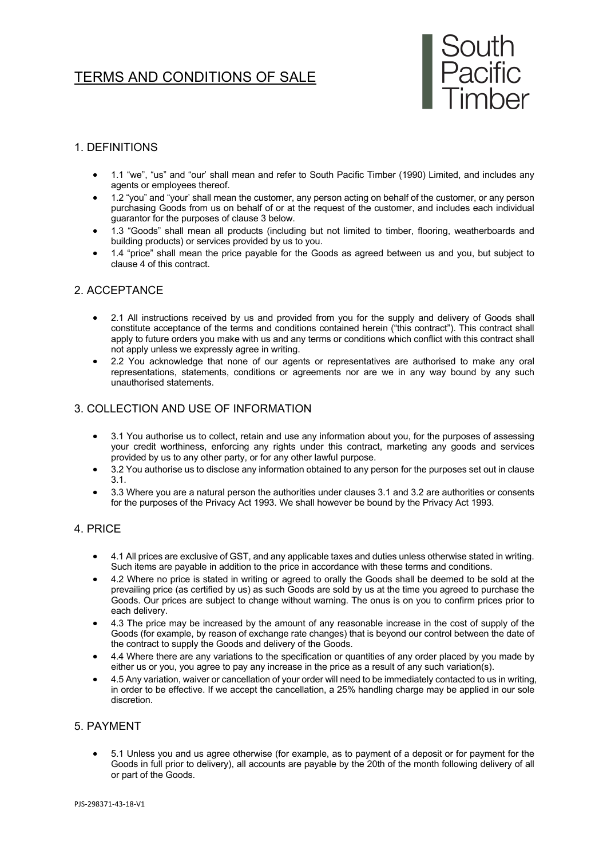# TERMS AND CONDITIONS OF SALE



## 1. DEFINITIONS

- 1.1 "we", "us" and "our' shall mean and refer to South Pacific Timber (1990) Limited, and includes any agents or employees thereof.
- 1.2 "you" and "your' shall mean the customer, any person acting on behalf of the customer, or any person purchasing Goods from us on behalf of or at the request of the customer, and includes each individual guarantor for the purposes of clause 3 below.
- 1.3 "Goods" shall mean all products (including but not limited to timber, flooring, weatherboards and building products) or services provided by us to you.
- 1.4 "price" shall mean the price payable for the Goods as agreed between us and you, but subject to clause 4 of this contract.

# 2. ACCEPTANCE

- 2.1 All instructions received by us and provided from you for the supply and delivery of Goods shall constitute acceptance of the terms and conditions contained herein ("this contract"). This contract shall apply to future orders you make with us and any terms or conditions which conflict with this contract shall not apply unless we expressly agree in writing.
- 2.2 You acknowledge that none of our agents or representatives are authorised to make any oral representations, statements, conditions or agreements nor are we in any way bound by any such unauthorised statements.

## 3. COLLECTION AND USE OF INFORMATION

- 3.1 You authorise us to collect, retain and use any information about you, for the purposes of assessing your credit worthiness, enforcing any rights under this contract, marketing any goods and services provided by us to any other party, or for any other lawful purpose.
- 3.2 You authorise us to disclose any information obtained to any person for the purposes set out in clause 3.1.
- 3.3 Where you are a natural person the authorities under clauses 3.1 and 3.2 are authorities or consents for the purposes of the Privacy Act 1993. We shall however be bound by the Privacy Act 1993.

#### 4. PRICE

- 4.1 All prices are exclusive of GST, and any applicable taxes and duties unless otherwise stated in writing. Such items are payable in addition to the price in accordance with these terms and conditions.
- 4.2 Where no price is stated in writing or agreed to orally the Goods shall be deemed to be sold at the prevailing price (as certified by us) as such Goods are sold by us at the time you agreed to purchase the Goods. Our prices are subject to change without warning. The onus is on you to confirm prices prior to each delivery.
- 4.3 The price may be increased by the amount of any reasonable increase in the cost of supply of the Goods (for example, by reason of exchange rate changes) that is beyond our control between the date of the contract to supply the Goods and delivery of the Goods.
- 4.4 Where there are any variations to the specification or quantities of any order placed by you made by either us or you, you agree to pay any increase in the price as a result of any such variation(s).
- 4.5 Any variation, waiver or cancellation of your order will need to be immediately contacted to us in writing, in order to be effective. If we accept the cancellation, a 25% handling charge may be applied in our sole discretion.

#### 5. PAYMENT

• 5.1 Unless you and us agree otherwise (for example, as to payment of a deposit or for payment for the Goods in full prior to delivery), all accounts are payable by the 20th of the month following delivery of all or part of the Goods.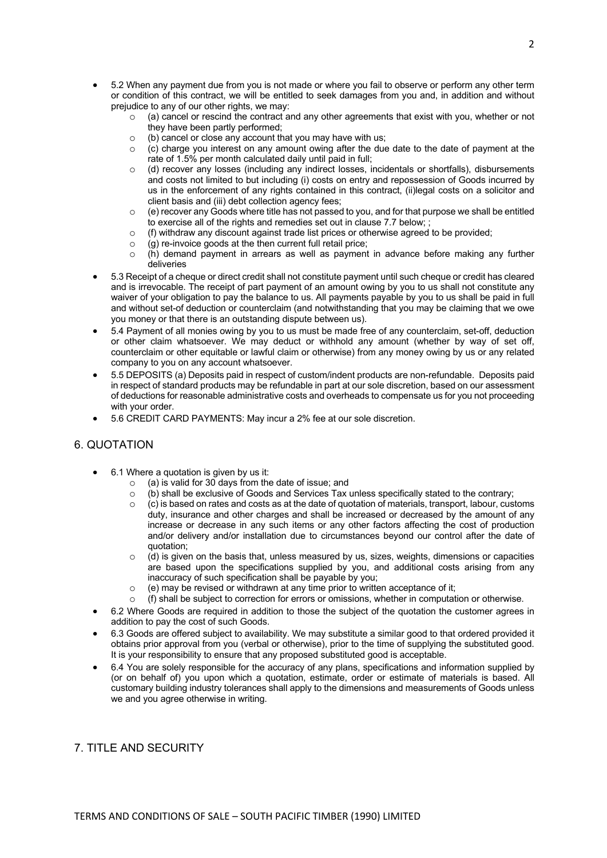- 5.2 When any payment due from you is not made or where you fail to observe or perform any other term or condition of this contract, we will be entitled to seek damages from you and, in addition and without prejudice to any of our other rights, we may:
	- $\circ$  (a) cancel or rescind the contract and any other agreements that exist with you, whether or not they have been partly performed;
	- $\circ$  (b) cancel or close any account that you may have with us;<br> $\circ$  (c) charge you interest on any amount owing after the due
	- (c) charge you interest on any amount owing after the due date to the date of payment at the rate of 1.5% per month calculated daily until paid in full;
	- o (d) recover any losses (including any indirect losses, incidentals or shortfalls), disbursements and costs not limited to but including (i) costs on entry and repossession of Goods incurred by us in the enforcement of any rights contained in this contract, (ii)legal costs on a solicitor and client basis and (iii) debt collection agency fees;
	- $\circ$  (e) recover any Goods where title has not passed to you, and for that purpose we shall be entitled to exercise all of the rights and remedies set out in clause 7.7 below; ;
	- $\circ$  (f) withdraw any discount against trade list prices or otherwise agreed to be provided;
	- o (g) re-invoice goods at the then current full retail price;
	- o (h) demand payment in arrears as well as payment in advance before making any further deliveries
- 5.3 Receipt of a cheque or direct credit shall not constitute payment until such cheque or credit has cleared and is irrevocable. The receipt of part payment of an amount owing by you to us shall not constitute any waiver of your obligation to pay the balance to us. All payments payable by you to us shall be paid in full and without set-of deduction or counterclaim (and notwithstanding that you may be claiming that we owe you money or that there is an outstanding dispute between us).
- 5.4 Payment of all monies owing by you to us must be made free of any counterclaim, set-off, deduction or other claim whatsoever. We may deduct or withhold any amount (whether by way of set off, counterclaim or other equitable or lawful claim or otherwise) from any money owing by us or any related company to you on any account whatsoever.
- 5.5 DEPOSITS (a) Deposits paid in respect of custom/indent products are non-refundable. Deposits paid in respect of standard products may be refundable in part at our sole discretion, based on our assessment of deductions for reasonable administrative costs and overheads to compensate us for you not proceeding with your order.
- 5.6 CREDIT CARD PAYMENTS: May incur a 2% fee at our sole discretion.

# 6. QUOTATION

- 6.1 Where a quotation is given by us it:
	- o (a) is valid for 30 days from the date of issue; and
	- o (b) shall be exclusive of Goods and Services Tax unless specifically stated to the contrary;
		- $\circ$  (c) is based on rates and costs as at the date of quotation of materials, transport, labour, customs duty, insurance and other charges and shall be increased or decreased by the amount of any increase or decrease in any such items or any other factors affecting the cost of production and/or delivery and/or installation due to circumstances beyond our control after the date of quotation;
		- $\circ$  (d) is given on the basis that, unless measured by us, sizes, weights, dimensions or capacities are based upon the specifications supplied by you, and additional costs arising from any inaccuracy of such specification shall be payable by you;
		- (e) may be revised or withdrawn at any time prior to written acceptance of it;
	- (f) shall be subject to correction for errors or omissions, whether in computation or otherwise.
- 6.2 Where Goods are required in addition to those the subject of the quotation the customer agrees in addition to pay the cost of such Goods.
- 6.3 Goods are offered subject to availability. We may substitute a similar good to that ordered provided it obtains prior approval from you (verbal or otherwise), prior to the time of supplying the substituted good. It is your responsibility to ensure that any proposed substituted good is acceptable.
- 6.4 You are solely responsible for the accuracy of any plans, specifications and information supplied by (or on behalf of) you upon which a quotation, estimate, order or estimate of materials is based. All customary building industry tolerances shall apply to the dimensions and measurements of Goods unless we and you agree otherwise in writing.

# 7. TITLE AND SECURITY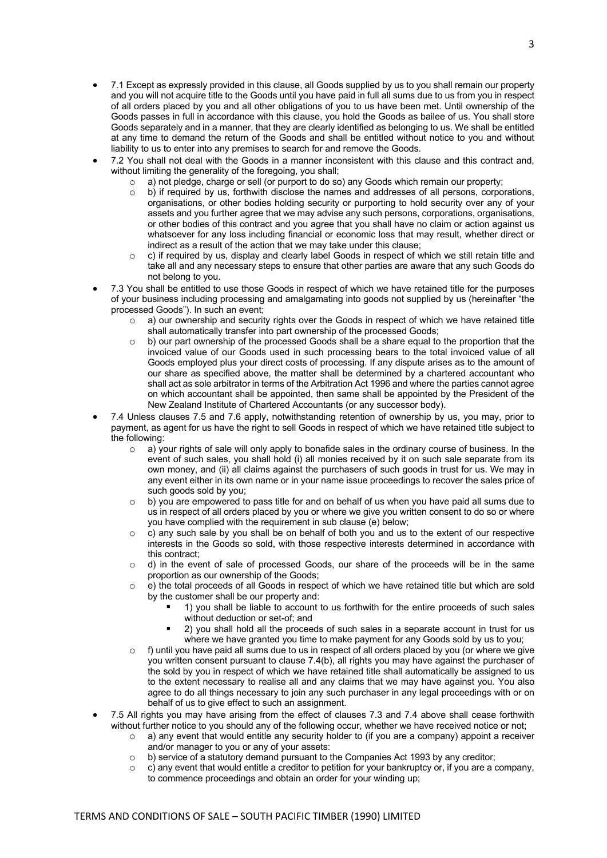- 7.1 Except as expressly provided in this clause, all Goods supplied by us to you shall remain our property and you will not acquire title to the Goods until you have paid in full all sums due to us from you in respect of all orders placed by you and all other obligations of you to us have been met. Until ownership of the Goods passes in full in accordance with this clause, you hold the Goods as bailee of us. You shall store Goods separately and in a manner, that they are clearly identified as belonging to us. We shall be entitled at any time to demand the return of the Goods and shall be entitled without notice to you and without liability to us to enter into any premises to search for and remove the Goods.
- 7.2 You shall not deal with the Goods in a manner inconsistent with this clause and this contract and, without limiting the generality of the foregoing, you shall;
	- o a) not pledge, charge or sell (or purport to do so) any Goods which remain our property;
	- $\circ$  b) if required by us, forthwith disclose the names and addresses of all persons, corporations, organisations, or other bodies holding security or purporting to hold security over any of your assets and you further agree that we may advise any such persons, corporations, organisations, or other bodies of this contract and you agree that you shall have no claim or action against us whatsoever for any loss including financial or economic loss that may result, whether direct or indirect as a result of the action that we may take under this clause;
	- $\circ$  c) if required by us, display and clearly label Goods in respect of which we still retain title and take all and any necessary steps to ensure that other parties are aware that any such Goods do not belong to you.
- 7.3 You shall be entitled to use those Goods in respect of which we have retained title for the purposes of your business including processing and amalgamating into goods not supplied by us (hereinafter "the processed Goods"). In such an event;
	- $\circ$  a) our ownership and security rights over the Goods in respect of which we have retained title shall automatically transfer into part ownership of the processed Goods;
	- o b) our part ownership of the processed Goods shall be a share equal to the proportion that the invoiced value of our Goods used in such processing bears to the total invoiced value of all Goods employed plus your direct costs of processing. If any dispute arises as to the amount of our share as specified above, the matter shall be determined by a chartered accountant who shall act as sole arbitrator in terms of the Arbitration Act 1996 and where the parties cannot agree on which accountant shall be appointed, then same shall be appointed by the President of the New Zealand Institute of Chartered Accountants (or any successor body).
- 7.4 Unless clauses 7.5 and 7.6 apply, notwithstanding retention of ownership by us, you may, prior to payment, as agent for us have the right to sell Goods in respect of which we have retained title subject to the following:
	- $\circ$  a) your rights of sale will only apply to bonafide sales in the ordinary course of business. In the event of such sales, you shall hold (i) all monies received by it on such sale separate from its own money, and (ii) all claims against the purchasers of such goods in trust for us. We may in any event either in its own name or in your name issue proceedings to recover the sales price of such goods sold by you;
	- $\circ$  b) you are empowered to pass title for and on behalf of us when you have paid all sums due to us in respect of all orders placed by you or where we give you written consent to do so or where you have complied with the requirement in sub clause (e) below;
	- o c) any such sale by you shall be on behalf of both you and us to the extent of our respective interests in the Goods so sold, with those respective interests determined in accordance with this contract;
	- o d) in the event of sale of processed Goods, our share of the proceeds will be in the same proportion as our ownership of the Goods;
	- o e) the total proceeds of all Goods in respect of which we have retained title but which are sold by the customer shall be our property and:
		- § 1) you shall be liable to account to us forthwith for the entire proceeds of such sales without deduction or set-of; and
		- § 2) you shall hold all the proceeds of such sales in a separate account in trust for us where we have granted you time to make payment for any Goods sold by us to you;
	- f) until you have paid all sums due to us in respect of all orders placed by you (or where we give you written consent pursuant to clause 7.4(b), all rights you may have against the purchaser of the sold by you in respect of which we have retained title shall automatically be assigned to us to the extent necessary to realise all and any claims that we may have against you. You also agree to do all things necessary to join any such purchaser in any legal proceedings with or on behalf of us to give effect to such an assignment.
- 7.5 All rights you may have arising from the effect of clauses 7.3 and 7.4 above shall cease forthwith without further notice to you should any of the following occur, whether we have received notice or not;
	- $\circ$  a) any event that would entitle any security holder to (if you are a company) appoint a receiver and/or manager to you or any of your assets:
	- o b) service of a statutory demand pursuant to the Companies Act 1993 by any creditor;
	- $\circ$  c) any event that would entitle a creditor to petition for your bankruptcy or, if you are a company, to commence proceedings and obtain an order for your winding up;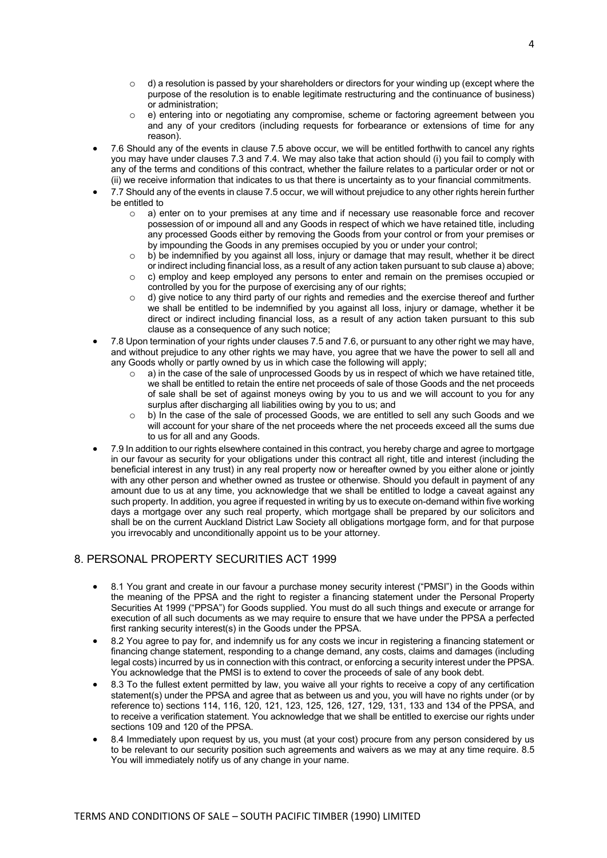- $\circ$  d) a resolution is passed by your shareholders or directors for your winding up (except where the purpose of the resolution is to enable legitimate restructuring and the continuance of business) or administration;
- o e) entering into or negotiating any compromise, scheme or factoring agreement between you and any of your creditors (including requests for forbearance or extensions of time for any reason).
- 7.6 Should any of the events in clause 7.5 above occur, we will be entitled forthwith to cancel any rights you may have under clauses 7.3 and 7.4. We may also take that action should (i) you fail to comply with any of the terms and conditions of this contract, whether the failure relates to a particular order or not or (ii) we receive information that indicates to us that there is uncertainty as to your financial commitments.
- 7.7 Should any of the events in clause 7.5 occur, we will without prejudice to any other rights herein further be entitled to
	- o a) enter on to your premises at any time and if necessary use reasonable force and recover possession of or impound all and any Goods in respect of which we have retained title, including any processed Goods either by removing the Goods from your control or from your premises or by impounding the Goods in any premises occupied by you or under your control;
	- $\circ$  b) be indemnified by you against all loss, injury or damage that may result, whether it be direct or indirect including financial loss, as a result of any action taken pursuant to sub clause a) above;
	- o c) employ and keep employed any persons to enter and remain on the premises occupied or controlled by you for the purpose of exercising any of our rights;
	- o d) give notice to any third party of our rights and remedies and the exercise thereof and further we shall be entitled to be indemnified by you against all loss, injury or damage, whether it be direct or indirect including financial loss, as a result of any action taken pursuant to this sub clause as a consequence of any such notice;
- 7.8 Upon termination of your rights under clauses 7.5 and 7.6, or pursuant to any other right we may have, and without prejudice to any other rights we may have, you agree that we have the power to sell all and any Goods wholly or partly owned by us in which case the following will apply;
	- o a) in the case of the sale of unprocessed Goods by us in respect of which we have retained title, we shall be entitled to retain the entire net proceeds of sale of those Goods and the net proceeds of sale shall be set of against moneys owing by you to us and we will account to you for any surplus after discharging all liabilities owing by you to us; and
	- o b) In the case of the sale of processed Goods, we are entitled to sell any such Goods and we will account for your share of the net proceeds where the net proceeds exceed all the sums due to us for all and any Goods.
- 7.9 In addition to our rights elsewhere contained in this contract, you hereby charge and agree to mortgage in our favour as security for your obligations under this contract all right, title and interest (including the beneficial interest in any trust) in any real property now or hereafter owned by you either alone or jointly with any other person and whether owned as trustee or otherwise. Should you default in payment of any amount due to us at any time, you acknowledge that we shall be entitled to lodge a caveat against any such property. In addition, you agree if requested in writing by us to execute on-demand within five working days a mortgage over any such real property, which mortgage shall be prepared by our solicitors and shall be on the current Auckland District Law Society all obligations mortgage form, and for that purpose you irrevocably and unconditionally appoint us to be your attorney.

# 8. PERSONAL PROPERTY SECURITIES ACT 1999

- 8.1 You grant and create in our favour a purchase money security interest ("PMSI") in the Goods within the meaning of the PPSA and the right to register a financing statement under the Personal Property Securities At 1999 ("PPSA") for Goods supplied. You must do all such things and execute or arrange for execution of all such documents as we may require to ensure that we have under the PPSA a perfected first ranking security interest(s) in the Goods under the PPSA.
- 8.2 You agree to pay for, and indemnify us for any costs we incur in registering a financing statement or financing change statement, responding to a change demand, any costs, claims and damages (including legal costs) incurred by us in connection with this contract, or enforcing a security interest under the PPSA. You acknowledge that the PMSI is to extend to cover the proceeds of sale of any book debt.
- 8.3 To the fullest extent permitted by law, you waive all your rights to receive a copy of any certification statement(s) under the PPSA and agree that as between us and you, you will have no rights under (or by reference to) sections 114, 116, 120, 121, 123, 125, 126, 127, 129, 131, 133 and 134 of the PPSA, and to receive a verification statement. You acknowledge that we shall be entitled to exercise our rights under sections 109 and 120 of the PPSA.
- 8.4 Immediately upon request by us, you must (at your cost) procure from any person considered by us to be relevant to our security position such agreements and waivers as we may at any time require. 8.5 You will immediately notify us of any change in your name.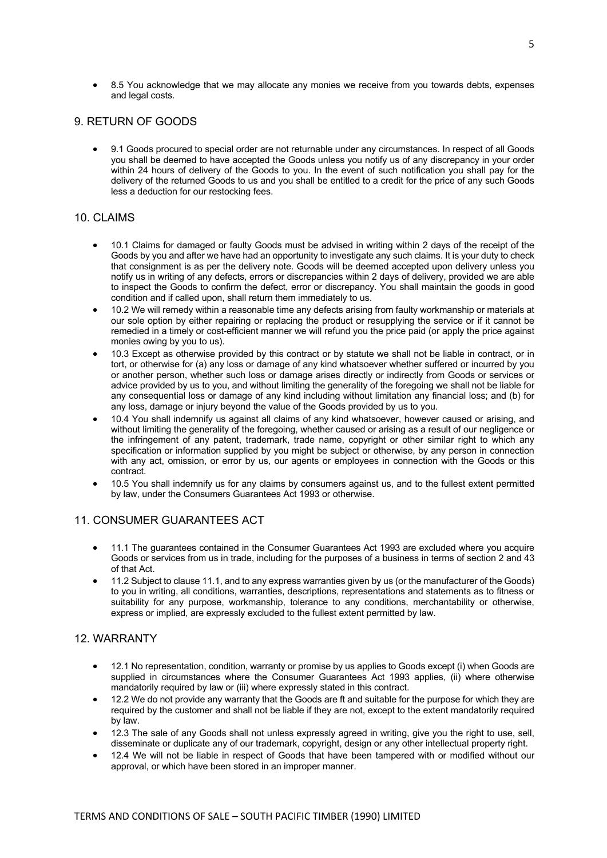• 8.5 You acknowledge that we may allocate any monies we receive from you towards debts, expenses and legal costs.

## 9. RETURN OF GOODS

• 9.1 Goods procured to special order are not returnable under any circumstances. In respect of all Goods you shall be deemed to have accepted the Goods unless you notify us of any discrepancy in your order within 24 hours of delivery of the Goods to you. In the event of such notification you shall pay for the delivery of the returned Goods to us and you shall be entitled to a credit for the price of any such Goods less a deduction for our restocking fees.

#### 10. CLAIMS

- 10.1 Claims for damaged or faulty Goods must be advised in writing within 2 days of the receipt of the Goods by you and after we have had an opportunity to investigate any such claims. It is your duty to check that consignment is as per the delivery note. Goods will be deemed accepted upon delivery unless you notify us in writing of any defects, errors or discrepancies within 2 days of delivery, provided we are able to inspect the Goods to confirm the defect, error or discrepancy. You shall maintain the goods in good condition and if called upon, shall return them immediately to us.
- 10.2 We will remedy within a reasonable time any defects arising from faulty workmanship or materials at our sole option by either repairing or replacing the product or resupplying the service or if it cannot be remedied in a timely or cost-efficient manner we will refund you the price paid (or apply the price against monies owing by you to us).
- 10.3 Except as otherwise provided by this contract or by statute we shall not be liable in contract, or in tort, or otherwise for (a) any loss or damage of any kind whatsoever whether suffered or incurred by you or another person, whether such loss or damage arises directly or indirectly from Goods or services or advice provided by us to you, and without limiting the generality of the foregoing we shall not be liable for any consequential loss or damage of any kind including without limitation any financial loss; and (b) for any loss, damage or injury beyond the value of the Goods provided by us to you.
- 10.4 You shall indemnify us against all claims of any kind whatsoever, however caused or arising, and without limiting the generality of the foregoing, whether caused or arising as a result of our negligence or the infringement of any patent, trademark, trade name, copyright or other similar right to which any specification or information supplied by you might be subject or otherwise, by any person in connection with any act, omission, or error by us, our agents or employees in connection with the Goods or this contract.
- 10.5 You shall indemnify us for any claims by consumers against us, and to the fullest extent permitted by law, under the Consumers Guarantees Act 1993 or otherwise.

#### 11. CONSUMER GUARANTEES ACT

- 11.1 The guarantees contained in the Consumer Guarantees Act 1993 are excluded where you acquire Goods or services from us in trade, including for the purposes of a business in terms of section 2 and 43 of that Act.
- 11.2 Subject to clause 11.1, and to any express warranties given by us (or the manufacturer of the Goods) to you in writing, all conditions, warranties, descriptions, representations and statements as to fitness or suitability for any purpose, workmanship, tolerance to any conditions, merchantability or otherwise, express or implied, are expressly excluded to the fullest extent permitted by law.

#### 12. WARRANTY

- 12.1 No representation, condition, warranty or promise by us applies to Goods except (i) when Goods are supplied in circumstances where the Consumer Guarantees Act 1993 applies, (ii) where otherwise mandatorily required by law or (iii) where expressly stated in this contract.
- 12.2 We do not provide any warranty that the Goods are ft and suitable for the purpose for which they are required by the customer and shall not be liable if they are not, except to the extent mandatorily required by law.
- 12.3 The sale of any Goods shall not unless expressly agreed in writing, give you the right to use, sell, disseminate or duplicate any of our trademark, copyright, design or any other intellectual property right.
- 12.4 We will not be liable in respect of Goods that have been tampered with or modified without our approval, or which have been stored in an improper manner.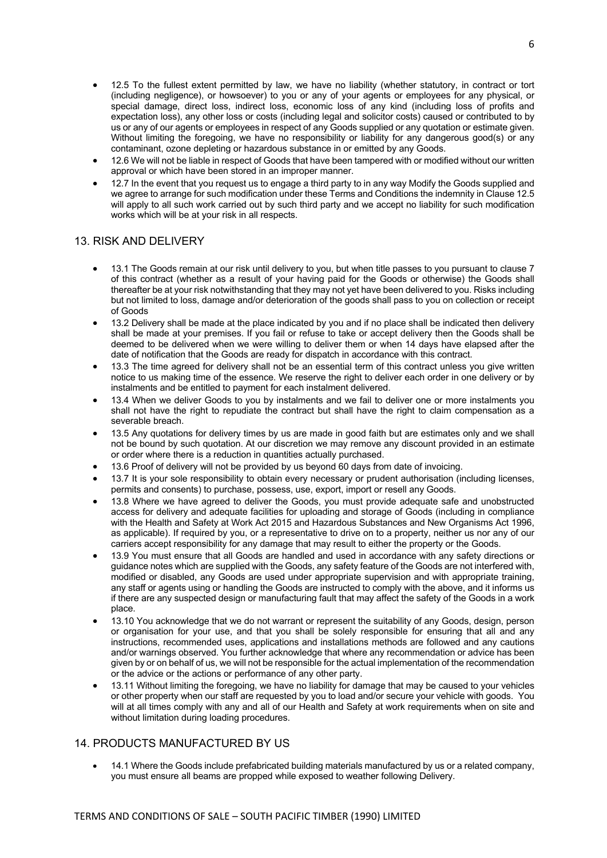- 12.5 To the fullest extent permitted by law, we have no liability (whether statutory, in contract or tort (including negligence), or howsoever) to you or any of your agents or employees for any physical, or special damage, direct loss, indirect loss, economic loss of any kind (including loss of profits and expectation loss), any other loss or costs (including legal and solicitor costs) caused or contributed to by us or any of our agents or employees in respect of any Goods supplied or any quotation or estimate given. Without limiting the foregoing, we have no responsibility or liability for any dangerous good(s) or any contaminant, ozone depleting or hazardous substance in or emitted by any Goods.
- 12.6 We will not be liable in respect of Goods that have been tampered with or modified without our written approval or which have been stored in an improper manner.
- 12.7 In the event that you request us to engage a third party to in any way Modify the Goods supplied and we agree to arrange for such modification under these Terms and Conditions the indemnity in Clause 12.5 will apply to all such work carried out by such third party and we accept no liability for such modification works which will be at your risk in all respects.

## 13. RISK AND DELIVERY

- 13.1 The Goods remain at our risk until delivery to you, but when title passes to you pursuant to clause 7 of this contract (whether as a result of your having paid for the Goods or otherwise) the Goods shall thereafter be at your risk notwithstanding that they may not yet have been delivered to you. Risks including but not limited to loss, damage and/or deterioration of the goods shall pass to you on collection or receipt of Goods
- 13.2 Delivery shall be made at the place indicated by you and if no place shall be indicated then delivery shall be made at your premises. If you fail or refuse to take or accept delivery then the Goods shall be deemed to be delivered when we were willing to deliver them or when 14 days have elapsed after the date of notification that the Goods are ready for dispatch in accordance with this contract.
- 13.3 The time agreed for delivery shall not be an essential term of this contract unless you give written notice to us making time of the essence. We reserve the right to deliver each order in one delivery or by instalments and be entitled to payment for each instalment delivered.
- 13.4 When we deliver Goods to you by instalments and we fail to deliver one or more instalments you shall not have the right to repudiate the contract but shall have the right to claim compensation as a severable breach.
- 13.5 Any quotations for delivery times by us are made in good faith but are estimates only and we shall not be bound by such quotation. At our discretion we may remove any discount provided in an estimate or order where there is a reduction in quantities actually purchased.
- 13.6 Proof of delivery will not be provided by us beyond 60 days from date of invoicing.
- 13.7 It is your sole responsibility to obtain every necessary or prudent authorisation (including licenses, permits and consents) to purchase, possess, use, export, import or resell any Goods.
- 13.8 Where we have agreed to deliver the Goods, you must provide adequate safe and unobstructed access for delivery and adequate facilities for uploading and storage of Goods (including in compliance with the Health and Safety at Work Act 2015 and Hazardous Substances and New Organisms Act 1996, as applicable). If required by you, or a representative to drive on to a property, neither us nor any of our carriers accept responsibility for any damage that may result to either the property or the Goods.
- 13.9 You must ensure that all Goods are handled and used in accordance with any safety directions or guidance notes which are supplied with the Goods, any safety feature of the Goods are not interfered with, modified or disabled, any Goods are used under appropriate supervision and with appropriate training, any staff or agents using or handling the Goods are instructed to comply with the above, and it informs us if there are any suspected design or manufacturing fault that may affect the safety of the Goods in a work place.
- 13.10 You acknowledge that we do not warrant or represent the suitability of any Goods, design, person or organisation for your use, and that you shall be solely responsible for ensuring that all and any instructions, recommended uses, applications and installations methods are followed and any cautions and/or warnings observed. You further acknowledge that where any recommendation or advice has been given by or on behalf of us, we will not be responsible for the actual implementation of the recommendation or the advice or the actions or performance of any other party.
- 13.11 Without limiting the foregoing, we have no liability for damage that may be caused to your vehicles or other property when our staff are requested by you to load and/or secure your vehicle with goods. You will at all times comply with any and all of our Health and Safety at work requirements when on site and without limitation during loading procedures.

# 14. PRODUCTS MANUFACTURED BY US

• 14.1 Where the Goods include prefabricated building materials manufactured by us or a related company, you must ensure all beams are propped while exposed to weather following Delivery.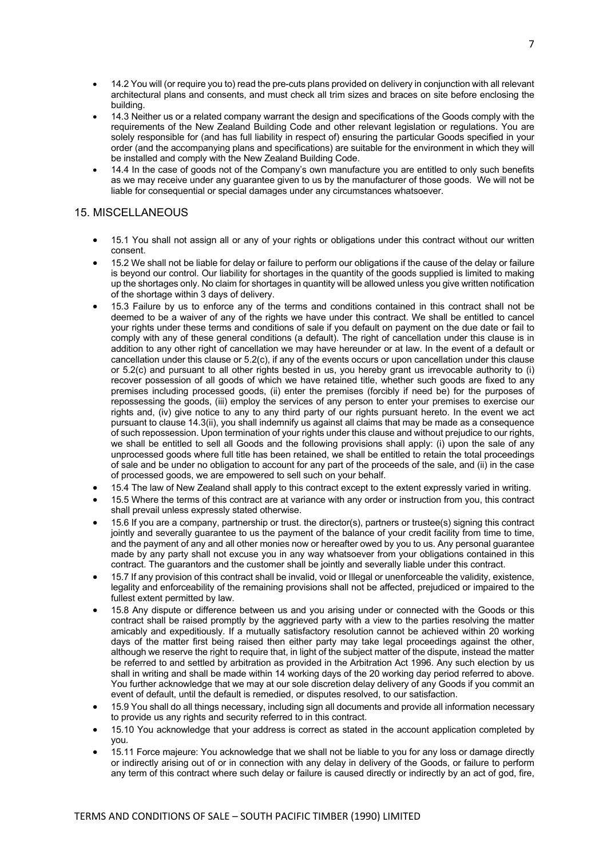- 14.2 You will (or require you to) read the pre-cuts plans provided on delivery in conjunction with all relevant architectural plans and consents, and must check all trim sizes and braces on site before enclosing the building.
- 14.3 Neither us or a related company warrant the design and specifications of the Goods comply with the requirements of the New Zealand Building Code and other relevant legislation or regulations. You are solely responsible for (and has full liability in respect of) ensuring the particular Goods specified in your order (and the accompanying plans and specifications) are suitable for the environment in which they will be installed and comply with the New Zealand Building Code.
- 14.4 In the case of goods not of the Company's own manufacture you are entitled to only such benefits as we may receive under any guarantee given to us by the manufacturer of those goods. We will not be liable for consequential or special damages under any circumstances whatsoever.

## 15. MISCELLANEOUS

- 15.1 You shall not assign all or any of your rights or obligations under this contract without our written consent.
- 15.2 We shall not be liable for delay or failure to perform our obligations if the cause of the delay or failure is beyond our control. Our liability for shortages in the quantity of the goods supplied is limited to making up the shortages only. No claim for shortages in quantity will be allowed unless you give written notification of the shortage within 3 days of delivery.
- 15.3 Failure by us to enforce any of the terms and conditions contained in this contract shall not be deemed to be a waiver of any of the rights we have under this contract. We shall be entitled to cancel your rights under these terms and conditions of sale if you default on payment on the due date or fail to comply with any of these general conditions (a default). The right of cancellation under this clause is in addition to any other right of cancellation we may have hereunder or at law. In the event of a default or cancellation under this clause or 5.2(c), if any of the events occurs or upon cancellation under this clause or 5.2(c) and pursuant to all other rights bested in us, you hereby grant us irrevocable authority to (i) recover possession of all goods of which we have retained title, whether such goods are fixed to any premises including processed goods, (ii) enter the premises (forcibly if need be) for the purposes of repossessing the goods, (iii) employ the services of any person to enter your premises to exercise our rights and, (iv) give notice to any to any third party of our rights pursuant hereto. In the event we act pursuant to clause 14.3(ii), you shall indemnify us against all claims that may be made as a consequence of such repossession. Upon termination of your rights under this clause and without prejudice to our rights, we shall be entitled to sell all Goods and the following provisions shall apply: (i) upon the sale of any unprocessed goods where full title has been retained, we shall be entitled to retain the total proceedings of sale and be under no obligation to account for any part of the proceeds of the sale, and (ii) in the case of processed goods, we are empowered to sell such on your behalf.
- 15.4 The law of New Zealand shall apply to this contract except to the extent expressly varied in writing.
- 15.5 Where the terms of this contract are at variance with any order or instruction from you, this contract shall prevail unless expressly stated otherwise.
- 15.6 If you are a company, partnership or trust. the director(s), partners or trustee(s) signing this contract jointly and severally guarantee to us the payment of the balance of your credit facility from time to time, and the payment of any and all other monies now or hereafter owed by you to us. Any personal guarantee made by any party shall not excuse you in any way whatsoever from your obligations contained in this contract. The guarantors and the customer shall be jointly and severally liable under this contract.
- 15.7 If any provision of this contract shall be invalid, void or Illegal or unenforceable the validity, existence, legality and enforceability of the remaining provisions shall not be affected, prejudiced or impaired to the fullest extent permitted by law.
- 15.8 Any dispute or difference between us and you arising under or connected with the Goods or this contract shall be raised promptly by the aggrieved party with a view to the parties resolving the matter amicably and expeditiously. If a mutually satisfactory resolution cannot be achieved within 20 working days of the matter first being raised then either party may take legal proceedings against the other, although we reserve the right to require that, in light of the subject matter of the dispute, instead the matter be referred to and settled by arbitration as provided in the Arbitration Act 1996. Any such election by us shall in writing and shall be made within 14 working days of the 20 working day period referred to above. You further acknowledge that we may at our sole discretion delay delivery of any Goods if you commit an event of default, until the default is remedied, or disputes resolved, to our satisfaction.
- 15.9 You shall do all things necessary, including sign all documents and provide all information necessary to provide us any rights and security referred to in this contract.
- 15.10 You acknowledge that your address is correct as stated in the account application completed by you.
- 15.11 Force majeure: You acknowledge that we shall not be liable to you for any loss or damage directly or indirectly arising out of or in connection with any delay in delivery of the Goods, or failure to perform any term of this contract where such delay or failure is caused directly or indirectly by an act of god, fire,